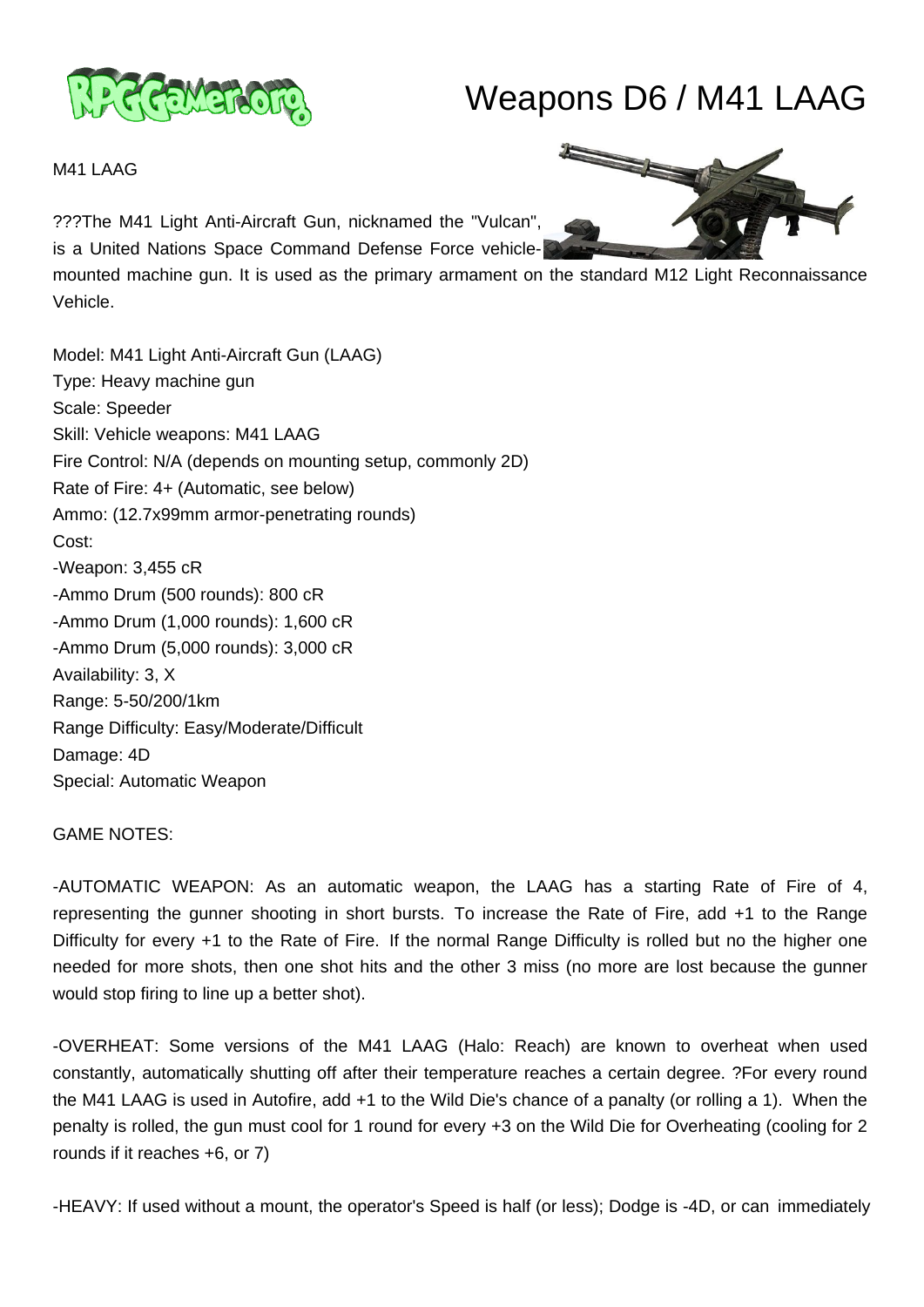

## Weapons D6 / M41 LAAG

M41 LAAG

???The M41 Light Anti-Aircraft Gun, nicknamed the "Vulcan",

is a United Nations Space Command Defense Force vehicle-

mounted machine gun. It is used as the primary armament on the standard M12 Light Reconnaissance Vehicle.

Model: M41 Light Anti-Aircraft Gun (LAAG) Type: Heavy machine gun Scale: Speeder Skill: Vehicle weapons: M41 LAAG Fire Control: N/A (depends on mounting setup, commonly 2D) Rate of Fire: 4+ (Automatic, see below) Ammo: (12.7x99mm armor-penetrating rounds) Cost: -Weapon: 3,455 cR -Ammo Drum (500 rounds): 800 cR -Ammo Drum (1,000 rounds): 1,600 cR -Ammo Drum (5,000 rounds): 3,000 cR Availability: 3, X Range: 5-50/200/1km Range Difficulty: Easy/Moderate/Difficult Damage: 4D Special: Automatic Weapon

## GAME NOTES:

-AUTOMATIC WEAPON: As an automatic weapon, the LAAG has a starting Rate of Fire of 4, representing the gunner shooting in short bursts. To increase the Rate of Fire, add +1 to the Range Difficulty for every +1 to the Rate of Fire. If the normal Range Difficulty is rolled but no the higher one needed for more shots, then one shot hits and the other 3 miss (no more are lost because the gunner would stop firing to line up a better shot).

-OVERHEAT: Some versions of the M41 LAAG (Halo: Reach) are known to overheat when used constantly, automatically shutting off after their temperature reaches a certain degree. ?For every round the M41 LAAG is used in Autofire, add +1 to the Wild Die's chance of a panalty (or rolling a 1). When the penalty is rolled, the gun must cool for 1 round for every +3 on the Wild Die for Overheating (cooling for 2 rounds if it reaches +6, or 7)

-HEAVY: If used without a mount, the operator's Speed is half (or less); Dodge is -4D, or can immediately